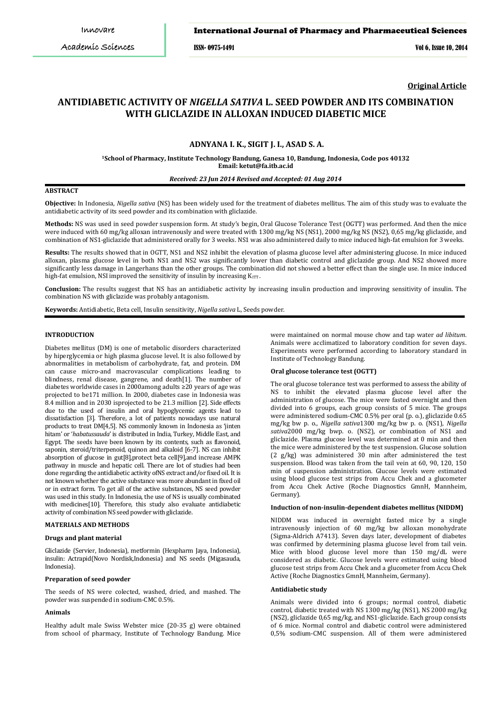ISSN- 0975-1491 Vol 6, Issue 10, 2014

**Original Article**

# **ANTIDIABETIC ACTIVITY OF** *NIGELLA SATIVA* **L. SEED POWDER AND ITS COMBINATION WITH GLICLAZIDE IN ALLOXAN INDUCED DIABETIC MICE**

# **ADNYANA I. K., SIGIT J. I., ASAD S. A.**

**1 School of Pharmacy, Institute Technology Bandung, Ganesa 10, Bandung, Indonesia, Code pos 40132 Email: ketut@fa.itb.ac.id**

#### *Received: 23 Jun 2014 Revised and Accepted: 01 Aug 2014*

# **ABSTRACT**

**Objective:** In Indonesia, *Nigella sativa* (NS) has been widely used for the treatment of diabetes mellitus. The aim of this study was to evaluate the antidiabetic activity of its seed powder and its combination with gliclazide.

**Methods:** NS was used in seed powder suspension form. At study's begin, Oral Glucose Tolerance Test (OGTT) was performed. And then the mice were induced with 60 mg/kg alloxan intravenously and were treated with 1300 mg/kg NS (NS1), 2000 mg/kg NS (NS2), 0,65 mg/kg gliclazide, and combination of NS1-gliclazide that administered orally for 3 weeks. NS1 was also administered daily to mice induced high-fat emulsion for 3 weeks.

**Results:** The results showed that in OGTT, NS1 and NS2 inhibit the elevation of plasma glucose level after administering glucose. In mice induced alloxan, plasma glucose level in both NS1 and NS2 was significantly lower than diabetic control and gliclazide group. And NS2 showed more significantly less damage in Langerhans than the other groups. The combination did not showed a better effect than the single use. In mice induced high-fat emulsion, NSI improved the sensitivity of insulin by increasing  $K_{\mathrm{ITT}}$ .

**Conclusion:** The results suggest that NS has an antidiabetic activity by increasing insulin production and improving sensitivity of insulin. The combination NS with gliclazide was probably antagonism.

**Keywords:** Antidiabetic, Beta cell, Insulin sensitivity, *Nigella sativa* L, Seeds powder.

# **INTRODUCTION**

Diabetes mellitus (DM) is one of metabolic disorders characterized by hiperglycemia or high plasma glucose level. It is also followed by abnormalities in metabolism of carbohydrate, fat, and protein. DM can cause micro-and macrovascular complications leading to blindness, renal disease, gangrene, and death[1]. The number of diabetes worldwide cases in 2000among adults ≥20 years of age was projected to be171 million. In 2000, diabetes case in Indonesia was 8.4 million and in 2030 isprojected to be 21.3 million [2]. Side effects due to the used of insulin and oral hypoglycemic agents lead to dissatisfaction [3]. Therefore, a lot of patients nowadays use natural products to treat DM[4,5]. NS commonly known in Indonesia as 'jinten hitam' or '*habatussauda*' is distributed in India, Turkey, Middle East, and Egypt. The seeds have been known by its contents, such as flavonoid, saponin, steroid/triterpenoid, quinon and alkaloid [6-7]. NS can inhibit absorption of glucose in gut[8],protect beta cell[9],and increase AMPK pathway in muscle and hepatic cell. There are lot of studies had been done regarding the antidiabetic activity ofNS extract and/or fixed oil. It is not known whether the active substance was more abundant in fixed oil or in extract form. To get all of the active substances, NS seed powder was used in this study. In Indonesia, the use of NS is usually combinated with medicines[10]. Therefore, this study also evaluate antidiabetic activity of combination NS seed powder with gliclazide.

# **MATERIALS AND METHODS**

# **Drugs and plant material**

Gliclazide (Servier, Indonesia), metformin (Hexpharm Jaya, Indonesia), insulin: Actrapid(Novo Nordisk,Indonesia) and NS seeds (Migasauda, Indonesia).

# **Preparation of seed powder**

The seeds of NS were colected, washed, dried, and mashed. The powder was suspended in sodium-CMC 0.5%.

#### **Animals**

Healthy adult male Swiss Webster mice (20-35 g) were obtained from school of pharmacy, Institute of Technology Bandung. Mice

were maintained on normal mouse chow and tap water *ad libitum*. Animals were acclimatized to laboratory condition for seven days. Experiments were performed according to laboratory standard in Institute of Technology Bandung.

#### **Oral glucose tolerance test (OGTT)**

The oral glucose tolerance test was performed to assess the ability of NS to inhibit the elevated plasma glucose level after the administration of glucose. The mice were fasted overnight and then divided into 6 groups, each group consists of 5 mice. The groups were administered sodium-CMC 0.5% per oral (p. o.), gliclazide 0.65 mg/kg bw p. o., *Nigella sativa*1300 mg/kg bw p. o. (NS1), *Nigella sativa*2000 mg/kg bwp. o. (NS2), or combination of NS1 and gliclazide. Plasma glucose level was determined at 0 min and then the mice were administered by the test suspension. Glucose solution (2 g/kg) was administered 30 min after administered the test suspension. Blood was taken from the tail vein at 60, 90, 120, 150 min of suspension administration. Glucose levels were estimated using blood glucose test strips from Accu Chek and a glucometer from Accu Chek Active (Roche Diagnostics GmnH, Mannheim, Germany).

# **Induction of non-insulin-dependent diabetes mellitus (NIDDM)**

NIDDM was induced in overnight fasted mice by a single intravenously injection of 60 mg/kg bw alloxan monohydrate (Sigma-Aldrich A7413). Seven days later, development of diabetes was confirmed by determining plasma glucose level from tail vein. Mice with blood glucose level more than 150 mg/dL were considered as diabetic. Glucose levels were estimated using blood glucose test strips from Accu Chek and a glucometer from Accu Chek Active (Roche Diagnostics GmnH, Mannheim, Germany).

# **Antidiabetic study**

Animals were divided into 6 groups; normal control, diabetic control, diabetic treated with NS 1300 mg/kg (NS1), NS 2000 mg/kg (NS2), gliclazide 0,65 mg/kg, and NS1-gliclazide. Each group consists of 6 mice. Normal control and diabetic control were administered 0,5% sodium-CMC suspension. All of them were administered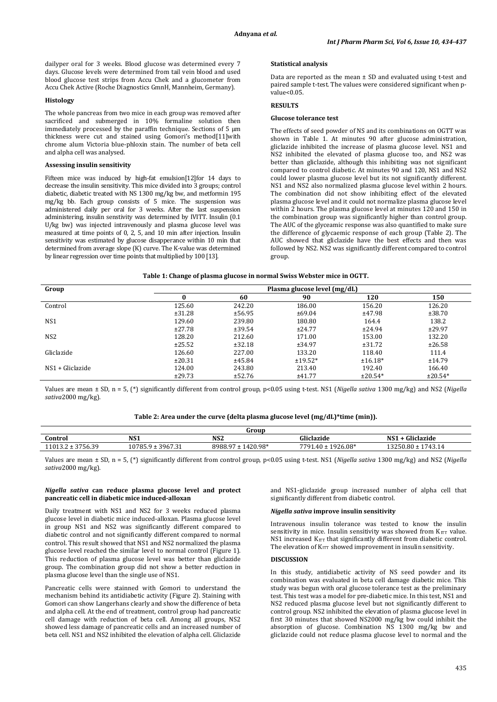dailyper oral for 3 weeks. Blood glucose was determined every 7 days. Glucose levels were determined from tail vein blood and used blood glucose test strips from Accu Chek and a glucometer from Accu Chek Active (Roche Diagnostics GmnH, Mannheim, Germany).

#### **Histology**

The whole pancreas from two mice in each group was removed after sacrificed and submerged in 10% formaline solution then immediately processed by the paraffin technique. Sections of 5 µm thickness were cut and stained using Gomori's method[11]with chrome alum Victoria blue-phloxin stain. The number of beta cell and alpha cell was analysed.

#### **Assessing insulin sensitivity**

Fifteen mice was induced by high-fat emulsion[12]for 14 days to decrease the insulin sensitivity. This mice divided into 3 groups; control diabetic, diabetic treated with NS 1300 mg/kg bw, and metformin 195 mg/kg bb. Each group consists of 5 mice. The suspension was administered daily per oral for 3 weeks. After the last suspension administering, insulin senstivity was determined by IVITT. Insulin (0.1 U/kg bw) was injected intravenously and plasma glucose level was measured at time points of 0, 2, 5, and 10 min after injection. Insulin sensitivity was estimated by glucose disapperance within 10 min that determined from average slope (K) curve. The K-value was determined by linear regression over time points that multiplied by 100 [13].

#### **Statistical analysis**

Data are reported as the mean ± SD and evaluated using t-test and paired sample t-test. The values were considered significant when pvalue<0.05.

# **RESULTS**

#### **Glucose tolerance test**

The effects of seed powder of NS and its combinations on OGTT was shown in Table 1. At minutes 90 after glucose administration, gliclazide inhibited the increase of plasma glucose level. NS1 and NS2 inhibited the elevated of plasma glucose too, and NS2 was better than gliclazide, although this inhibiting was not significant compared to control diabetic. At minutes 90 and 120, NS1 and NS2 could lower plasma glucose level but its not significantly different. NS1 and NS2 also normalized plasma glucose level within 2 hours. The combination did not show inhibiting effect of the elevated plasma glucose level and it could not normalize plasma glucose level within 2 hours. The plasma glucose level at minutes 120 and 150 in the combination group was significantly higher than control group. The AUC of the glyceamic response was also quantified to make sure the difference of glycaemic response of each group (Table 2). The AUC showed that gliclazide have the best effects and then was followed by NS2. NS2 was significantly different compared to control group.

#### **Table 1: Change of plasma glucose in normal Swiss Webster mice in OGTT.**

| Group              | Plasma glucose level (mg/dL) |        |           |           |           |  |  |
|--------------------|------------------------------|--------|-----------|-----------|-----------|--|--|
|                    | $\bf{0}$                     | 60     | 90        | 120       | 150       |  |  |
| Control            | 125.60                       | 242.20 | 186.00    | 156.20    | 126.20    |  |  |
|                    | ±31.28                       | ±56.95 | ±69.04    | ±47.98    | ±38.70    |  |  |
| NS <sub>1</sub>    | 129.60                       | 239.80 | 180.80    | 164.4     | 138.2     |  |  |
|                    | ±27.78                       | ±39.54 | ±24.77    | ±24.94    | ±29.97    |  |  |
| NS <sub>2</sub>    | 128.20                       | 212.60 | 171.00    | 153.00    | 132.20    |  |  |
|                    | ±25.52                       | ±32.18 | ±34.97    | ±31.72    | ±26.58    |  |  |
| Gliclazide         | 126.60                       | 227.00 | 133.20    | 118.40    | 111.4     |  |  |
|                    | ±20.31                       | ±45.84 | $±19.52*$ | $±16.18*$ | ±14.79    |  |  |
| $NS1 + Gliclazide$ | 124.00                       | 243.80 | 213.40    | 192.40    | 166.40    |  |  |
|                    | ±29.73                       | ±52.76 | ±41.77    | $±20.54*$ | $±20.54*$ |  |  |

Values are mean ± SD, n = 5, (\*) significantly different from control group, p<0.05 using t-test. NS1 (*Nigella sativa* 1300 mg/kg) and NS2 (*Nigella sativa*2000 mg/kg).

# **Table 2: Area under the curve (delta plasma glucose level (mg/dL)\*time (min)).**

|                              |                                  | Group                     |                         |                              |
|------------------------------|----------------------------------|---------------------------|-------------------------|------------------------------|
| Control                      | NS <sub>1</sub>                  | NS <sub>2</sub>           | iliclazide              | Gliclazide<br>NS1            |
| 275620<br>$11013.2 \pm$<br>. | $1 \pm 3967.31$<br>0785<br>. u ÷ | 1420.98*<br>8988.<br>. o- | 1926.08*<br>7791<br>.40 | 13250.80<br>174314<br>TJ. 15 |

Values are mean ± SD, n = 5, (\*) significantly different from control group, p<0.05 using t-test. NS1 (*Nigella sativa* 1300 mg/kg) and NS2 (*Nigella sativa*2000 mg/kg).

# *Nigella sativa* **can reduce plasma glucose level and protect pancreatic cell in diabetic mice induced-alloxan**

Daily treatment with NS1 and NS2 for 3 weeks reduced plasma glucose level in diabetic mice induced-alloxan. Plasma glucose level in group NS1 and NS2 was significantly different compared to diabetic control and not significantly different compared to normal control. This result showed that NS1 and NS2 normalized the plasma glucose level reached the similar level to normal control (Figure 1). This reduction of plasma glucose level was better than gliclazide group. The combination group did not show a better reduction in plasma glucose level than the single use of NS1.

Pancreatic cells were stainned with Gomori to understand the mechanism behind its antidiabetic activity (Figure 2). Staining with Gomori can show Langerhans clearly and show the difference of beta and alpha cell. At the end of treatment, control group had pancreatic cell damage with reduction of beta cell. Among all groups, NS2 showed less damage of pancreatic cells and an increased number of beta cell. NS1 and NS2 inhibited the elevation of alpha cell. Gliclazide and NS1-gliclazide group increased number of alpha cell that significantly different from diabetic control.

#### *Nigella sativa* **improve insulin sensitivity**

Intravenous insulin tolerance was tested to know the insulin sensitivity in mice. Insulin sensitivity was showed from  $K_{ITT}$  value. NS1 increased  $K_{ITT}$  that significantly different from diabetic control. The elevation of  $K_{\mathrm{ITT}}$  showed improvement in insulin sensitivity.

# **DISCUSSION**

In this study, antidiabetic activity of NS seed powder and its combination was evaluated in beta cell damage diabetic mice. This study was begun with oral glucose tolerance test as the preliminary test. This test was a model for pre-diabetic mice. In this test, NS1 and NS2 reduced plasma glucose level but not significantly different to control group. NS2 inhibited the elevation of plasma glucose level in first 30 minutes that showed NS2000 mg/kg bw could inhibit the absorption of glucose. Combination NS 1300 mg/kg bw and gliclazide could not reduce plasma glucose level to normal and the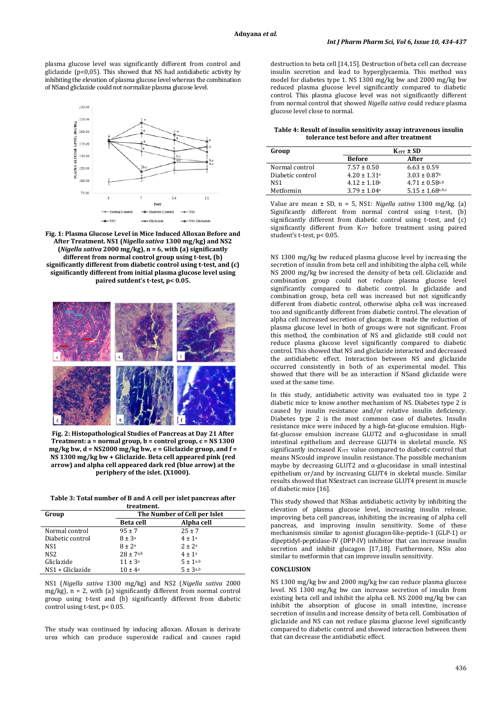plasma glucose level was significantly different from control and gliclazide (p<0,05). This showed that NS had antidiabetic activity by inhibiting the elevation of plasma glucose level whereas the combination of NSand gliclazide could not normalize plasma glucose level.







**Fig. 2: Histopathological Studies of Pancreas at Day 21 After Treatment: a = normal group, b = control group, c = NS 1300 mg/kg bw, d = NS2000 mg/kg bw, e = Gliclazide gruop, and f = NS 1300 mg/kg bw + Gliclazide. Beta cell appeared pink (red arrow) and alpha cell appeared dark red (blue arrow) at the periphery of the islet. (X1000).**

**Table 3: Total number of B and A cell per islet pancreas after treatment.**

| Group            | The Number of Cell per Islet |                 |  |
|------------------|------------------------------|-----------------|--|
|                  | <b>Beta cell</b>             | Alpha cell      |  |
| Normal control   | $95 \pm 7$                   | $25 \pm 7$      |  |
| Diabetic control | $8 \pm 3^a$                  | $4 \pm 1a$      |  |
| NS1              | $8 \pm 2^a$                  | $2 + 2a$        |  |
| NS2              | $28 \pm 7^{a,b}$             | $4 + 1^a$       |  |
| Gliclazide       | $11 \pm 3^a$                 | $5 \pm 1^{a,b}$ |  |
| NS1 + Gliclazide | $10 \pm 4^{\circ}$           | $5 \pm 3a,b$    |  |

NS1 (*Nigella sativa* 1300 mg/kg) and NS2 (*Nigella sativa* 2000 mg/kg), n = 2, with (a) significantly different from normal control group using t-test and (b) significantly different from diabetic control using t-test, p< 0.05.

The study was continued by inducing alloxan. Alloxan is derivate urea which can produce superoxide radical and causes rapid destruction to beta cell [14,15]. Destruction of beta cell can decrease insulin secretion and lead to hyperglycaemia. This method was model for diabetes type 1. NS 1300 mg/kg bw and 2000 mg/kg bw reduced plasma glucose level significantly compared to diabetic control. This plasma glucose level was not significantly different from normal control that showed *Nigella sativa* could reduce plasma glucose level close to normal.

**Table 4: Result of insulin sensitivity assay intravenous insulin tolerance test before and after treatment**

| Group            |                              | $KITT \pm SD$                |  |  |
|------------------|------------------------------|------------------------------|--|--|
|                  | <b>Before</b>                | After                        |  |  |
| Normal control   | $7.57 \pm 0.50$              | $6.63 \pm 0.59$              |  |  |
| Diabetic control | $4.20 \pm 1.31$ <sup>a</sup> | $3.03 \pm 0.87$ <sup>a</sup> |  |  |
| NS1              | $4.12 \pm 1.18$ <sup>a</sup> | $4.71 \pm 0.58$ a,b          |  |  |
| Metformin        | $3.79 \pm 1.04$ <sup>a</sup> | $5.15 \pm 1.68$ a,b,c        |  |  |

Value are mean ± SD, n = 5, NS1: *Nigella sativa* 1300 mg/kg. (a) Significantly different from normal control using t-test, (b) significantly different from diabetic control using t-test, and (c) significantly different from KITT before treatment using paired student's t-test, p< 0.05.

NS 1300 mg/kg bw reduced plasma glucose level by increasing the secretion of insulin from beta cell and inhibiting the alpha cell, while NS 2000 mg/kg bw incresed the density of beta cell. Gliclazide and combination group could not reduce plasma glucose level significantly compared to diabetic control. In gliclazide and combination group, beta cell was increased but not significantly different from diabetic control, otherwise alpha cell was increased too and significantly different from diabetic control. The elevation of alpha cell increased secretion of glucagon. It made the reduction of plasma glucose level in both of groups were not significant. From this method, the combination of NS and gliclazide still could not reduce plasma glucose level significantly compared to diabetic control. This showed that NS and gliclazide interacted and decreased the antidiabetic effect. Interaction between NS and gliclazide occurred consistently in both of an experimental model. This showed that there will be an interaction if NSand gliclazide were used at the same time.

In this study, antidiabetic activity was evaluated too in type 2 diabetic mice to know another mechanism of NS. Diabetes type 2 is caused by insulin resistance and/or relative insulin deficiency. Diabetes type 2 is the most common case of diabetes. Insulin resistance mice were induced by a high-fat-glucose emulsion. Highfat-glucose emulsion increase GLUT2 and α-glucosidase in small intestinal epithelium and decrease GLUT4 in skeletal muscle. NS  $significantly$  increased  $K_{\text{ITT}}$  value compared to diabetic control that means NScould improve insulin resistance. The possible mechanism maybe by decreasing GLUT2 and  $\alpha$ -glucosidase in small intestinal epithelium or/and by increasing GLUT4 in skeletal muscle. Similar results showed that NSextract can increase GLUT4 present in muscle of diabetic mice [16].

This study showed that NShas antidiabetic activity by inhibiting the elevation of plasma glucose level, increasing insulin release, improving beta cell pancreas, inhibiting the increasing of alpha cell pancreas, and improving insulin sensitivity. Some of these mechanismsis similar to agonist glucagon-like-peptide-1 (GLP-1) or dipeptidyl-peptidase-IV (DPP-IV) inhibitor that can increase insulin secretion and inhibit glucagon [17,18]. Furthermore, NSis also similar to metformin that can improve insulin sensitivity.

# **CONCLUSION**

NS 1300 mg/kg bw and 2000 mg/kg bw can reduce plasma glucose level. NS 1300 mg/kg bw can increase secretion of insulin from existing beta cell and inhibit the alpha cell. NS 2000 mg/kg bw can inhibit the absorption of glucose in small intestine, increase secretion of insulin and increase density of beta cell. Combination of gliclazide and NS can not reduce plasma glucose level significantly compared to diabetic control and showed interaction between them that can decrease the antidiabetic effect.